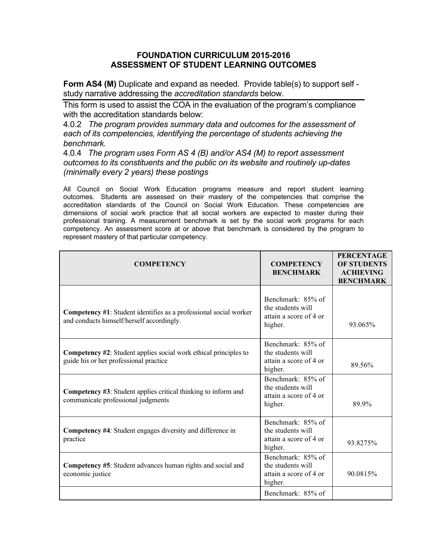## **FOUNDATION CURRICULUM 2015-2016 ASSESSMENT OF STUDENT LEARNING OUTCOMES**

Form AS4 (M) Duplicate and expand as needed. Provide table(s) to support self study narrative addressing the *accreditation standards* below.

This form is used to assist the COA in the evaluation of the program's compliance with the accreditation standards below:

4.0.2 *The program provides summary data and outcomes for the assessment of each of its competencies, identifying the percentage of students achieving the benchmark.*

4.0.4 *The program uses Form AS 4 (B) and/or AS4 (M) to report assessment outcomes to its constituents and the public on its website and routinely up-dates (minimally every 2 years) these postings*

All Council on Social Work Education programs measure and report student learning outcomes. Students are assessed on their mastery of the competencies that comprise the accreditation standards of the Council on Social Work Education. These competencies are dimensions of social work practice that all social workers are expected to master during their professional training. A measurement benchmark is set by the social work programs for each competency. An assessment score at or above that benchmark is considered by the program to represent mastery of that particular competency.

| <b>COMPETENCY</b>                                                                                                     | <b>COMPETENCY</b><br><b>BENCHMARK</b>                                       | <b>PERCENTAGE</b><br><b>OF STUDENTS</b><br><b>ACHIEVING</b><br><b>BENCHMARK</b> |
|-----------------------------------------------------------------------------------------------------------------------|-----------------------------------------------------------------------------|---------------------------------------------------------------------------------|
| <b>Competency #1:</b> Student identifies as a professional social worker<br>and conducts himself/herself accordingly. | Benchmark: 85% of<br>the students will<br>attain a score of 4 or<br>higher. | 93.065%                                                                         |
| <b>Competency #2:</b> Student applies social work ethical principles to<br>guide his or her professional practice     | Benchmark: 85% of<br>the students will<br>attain a score of 4 or<br>higher. | 89.56%                                                                          |
| <b>Competency #3:</b> Student applies critical thinking to inform and<br>communicate professional judgments           | Benchmark: 85% of<br>the students will<br>attain a score of 4 or<br>higher. | 89.9%                                                                           |
| <b>Competency #4:</b> Student engages diversity and difference in<br>practice                                         | Benchmark: 85% of<br>the students will<br>attain a score of 4 or<br>higher. | 93.8275%                                                                        |
| <b>Competency #5</b> : Student advances human rights and social and<br>economic justice                               | Benchmark: 85% of<br>the students will<br>attain a score of 4 or<br>higher. | 90.0815%                                                                        |
|                                                                                                                       | Benchmark: 85% of                                                           |                                                                                 |